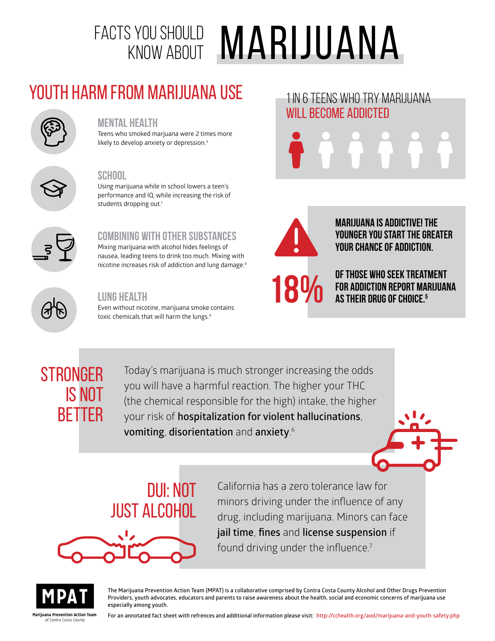# FACTS YOU SHOULD **MARIJUANA**

# Youth Harm from Marijuana Use



#### **Mental Health**

Teens who smoked marjuana were 2 times more likely to develop anxiety or depression.<sup>3</sup>



#### **School**

Using marijuana while in school lowers a teen's performance and IQ, while increasing the risk of students dropping out.<sup>1</sup>

## **Combining with other substances**

Mixing marijuana with alcohol hides feelings of nausea, leading teens to drink too much. Mixing with nicotine increases risk of addiction and lung damage.4



## **Lung Health**

Even without nicotine, marijuana smoke contains toxic chemicals that will harm the lungs.<sup>4</sup>





**Marijuana is addictive! The younger you start the greater your chance of addiction.**

1 IN 6 TEENS WHO TRY MARIJUANA

WILL BECOME ADDICTED

**of those who seek treatment for addiction report marijuana a** of those who seek treat<br>**18%** For addiction report ma

## **STRONGER** is not **BETTER**

Today's marijuana is much stronger increasing the odds you will have a harmful reaction. The higher your THC (the chemical responsible for the high) intake, the higher your risk of **hospitalization for violent hallucinations**, **vomiting**, **disorientation** and **anxiety**. 6



California has a zero tolerance law for minors driving under the influence of any drug, including marijuana. Minors can face **jail time**, **fines** and **license suspension** if found driving under the influence.<sup>7</sup>



**MPAT** The Marijuana Prevention Action Team (MPAT) is a collaborative comprised by Contra Costa County Alcohol and Other Drugs Prevention **Providers, youth advocates, educators and parents to raise awareness about the heal Providers, youth advocates, educators and parents to raise awareness about the health, social and economic concerns of marijuana use especially among youth.**

**Marijuana Prevention Action Team**  of Contra Costa County

**For an annotated fact sheet with refrences and additional information please visit: http://cchealth.org/aod/marijuana-and-youth-safety.php**